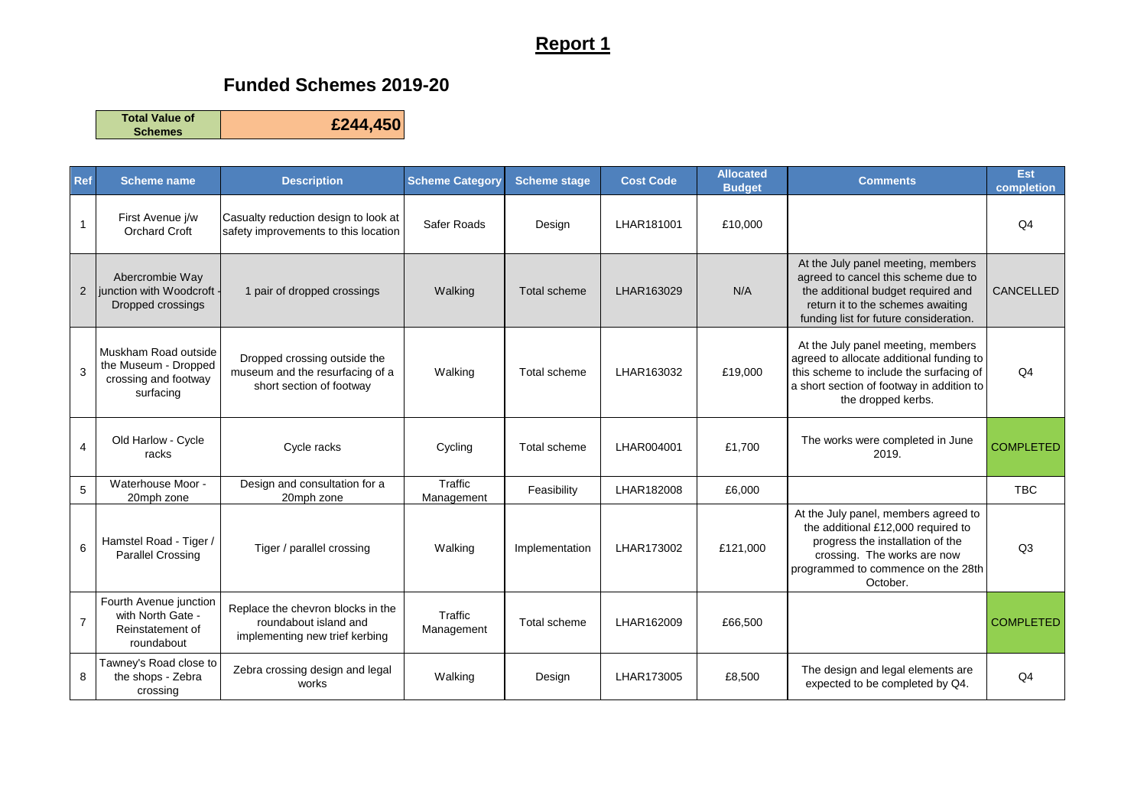## **Report 1**

## **Funded Schemes 2019-20**

**Total Value of Schemes £244,450**

| <b>Ref</b>     | <b>Scheme name</b>                                                                | <b>Description</b>                                                                           | <b>Scheme Category</b> | <b>Scheme stage</b> | <b>Cost Code</b> | <b>Allocated</b><br><b>Budget</b> | <b>Comments</b>                                                                                                                                                                                 | Est<br>completion |
|----------------|-----------------------------------------------------------------------------------|----------------------------------------------------------------------------------------------|------------------------|---------------------|------------------|-----------------------------------|-------------------------------------------------------------------------------------------------------------------------------------------------------------------------------------------------|-------------------|
|                | First Avenue j/w<br><b>Orchard Croft</b>                                          | Casualty reduction design to look at<br>safety improvements to this location                 | Safer Roads            | Design              | LHAR181001       | £10,000                           |                                                                                                                                                                                                 | Q <sub>4</sub>    |
| $\overline{2}$ | Abercrombie Way<br>junction with Woodcroft -<br>Dropped crossings                 | 1 pair of dropped crossings                                                                  | Walking                | <b>Total scheme</b> | LHAR163029       | N/A                               | At the July panel meeting, members<br>agreed to cancel this scheme due to<br>the additional budget required and<br>return it to the schemes awaiting<br>funding list for future consideration.  | CANCELLED         |
| 3              | Muskham Road outside<br>the Museum - Dropped<br>crossing and footway<br>surfacing | Dropped crossing outside the<br>museum and the resurfacing of a<br>short section of footway  | Walking                | Total scheme        | LHAR163032       | £19,000                           | At the July panel meeting, members<br>agreed to allocate additional funding to<br>this scheme to include the surfacing of<br>a short section of footway in addition to<br>the dropped kerbs.    | Q <sub>4</sub>    |
| 4              | Old Harlow - Cycle<br>racks                                                       | Cycle racks                                                                                  | Cycling                | Total scheme        | LHAR004001       | £1,700                            | The works were completed in June<br>2019.                                                                                                                                                       | <b>COMPLETED</b>  |
| 5              | Waterhouse Moor -<br>20mph zone                                                   | Design and consultation for a<br>20mph zone                                                  | Traffic<br>Management  | Feasibility         | LHAR182008       | £6,000                            |                                                                                                                                                                                                 | <b>TBC</b>        |
| 6              | Hamstel Road - Tiger /<br><b>Parallel Crossing</b>                                | Tiger / parallel crossing                                                                    | Walking                | Implementation      | LHAR173002       | £121,000                          | At the July panel, members agreed to<br>the additional £12,000 required to<br>progress the installation of the<br>crossing. The works are now<br>programmed to commence on the 28th<br>October. | Q <sub>3</sub>    |
| 7              | Fourth Avenue junction<br>with North Gate -<br>Reinstatement of<br>roundabout     | Replace the chevron blocks in the<br>roundabout island and<br>implementing new trief kerbing | Traffic<br>Management  | Total scheme        | LHAR162009       | £66,500                           |                                                                                                                                                                                                 | <b>COMPLETED</b>  |
| 8              | Tawney's Road close to<br>the shops - Zebra<br>crossing                           | Zebra crossing design and legal<br>works                                                     | Walking                | Design              | LHAR173005       | £8,500                            | The design and legal elements are<br>expected to be completed by Q4.                                                                                                                            | Q <sub>4</sub>    |